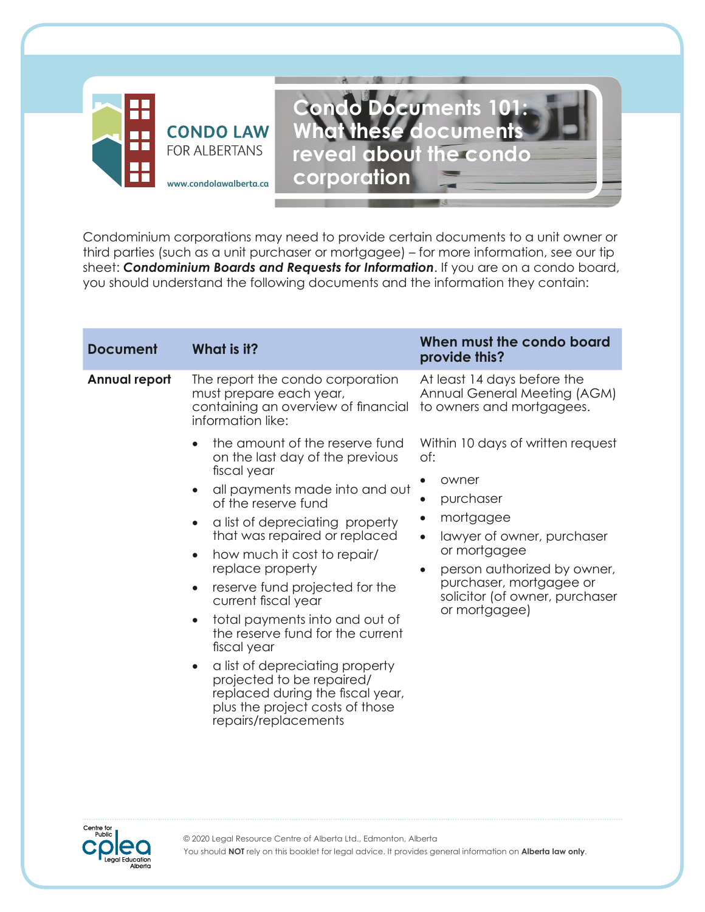



Condominium corporations may need to provide certain documents to a unit owner or third parties (such as a unit purchaser or mortgagee) – for more information, see our tip sheet: *Condominium Boards and Requests for Information*. If you are on a condo board, you should understand the following documents and the information they contain:

| <b>Document</b>      | What is it?                                                                                                                                                                                                                                                                                                                                                                                                                                                                                            | When must the condo board<br>provide this?                                                                                                                                                                                                                                                                                                                   |
|----------------------|--------------------------------------------------------------------------------------------------------------------------------------------------------------------------------------------------------------------------------------------------------------------------------------------------------------------------------------------------------------------------------------------------------------------------------------------------------------------------------------------------------|--------------------------------------------------------------------------------------------------------------------------------------------------------------------------------------------------------------------------------------------------------------------------------------------------------------------------------------------------------------|
| <b>Annual report</b> | The report the condo corporation<br>must prepare each year,<br>containing an overview of financial<br>information like:<br>the amount of the reserve fund<br>on the last day of the previous<br>fiscal year                                                                                                                                                                                                                                                                                            | At least 14 days before the<br>Annual General Meeting (AGM)<br>to owners and mortgagees.<br>Within 10 days of written request<br>of:<br>owner<br>purchaser<br>mortgagee<br>$\bullet$<br>lawyer of owner, purchaser<br>$\bullet$<br>or mortgagee<br>person authorized by owner,<br>purchaser, mortgagee or<br>solicitor (of owner, purchaser<br>or mortgagee) |
|                      | all payments made into and out<br>of the reserve fund<br>a list of depreciating property<br>that was repaired or replaced<br>how much it cost to repair/<br>replace property<br>reserve fund projected for the<br>current fiscal year<br>total payments into and out of<br>the reserve fund for the current<br>fiscal year<br>a list of depreciating property<br>$\bullet$<br>projected to be repaired/<br>replaced during the fiscal year,<br>plus the project costs of those<br>repairs/replacements |                                                                                                                                                                                                                                                                                                                                                              |

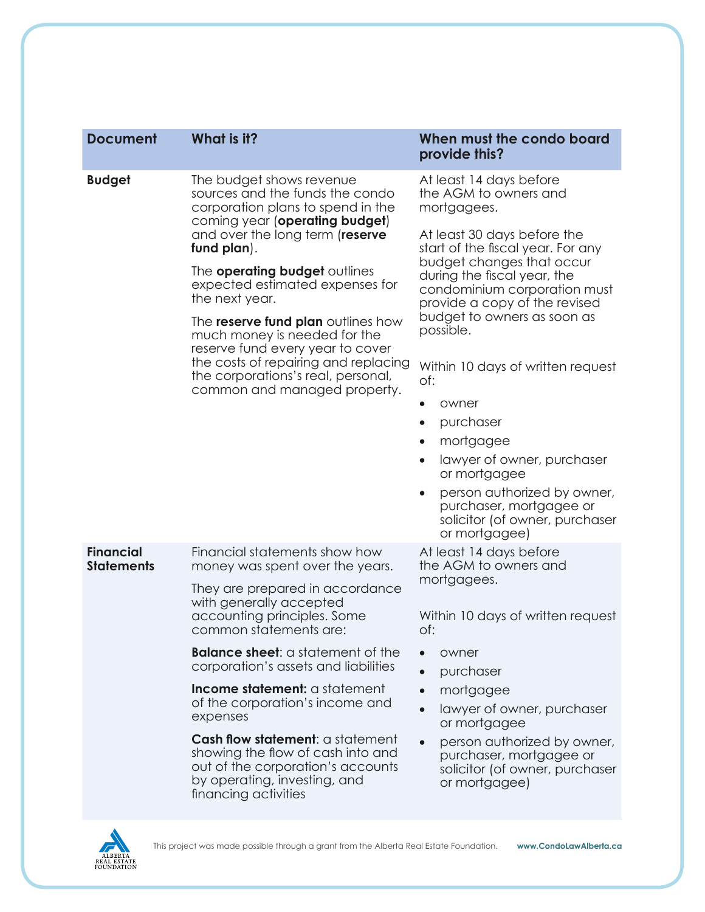| <b>Document</b>                       | What is it?                                                                                                                                                                                                                                                                                                                                                                                                                                                                                                      | When must the condo board<br>provide this?                                                                                                                                                                                                                                                                                                                                                                                                                                                                    |
|---------------------------------------|------------------------------------------------------------------------------------------------------------------------------------------------------------------------------------------------------------------------------------------------------------------------------------------------------------------------------------------------------------------------------------------------------------------------------------------------------------------------------------------------------------------|---------------------------------------------------------------------------------------------------------------------------------------------------------------------------------------------------------------------------------------------------------------------------------------------------------------------------------------------------------------------------------------------------------------------------------------------------------------------------------------------------------------|
| <b>Budget</b>                         | The budget shows revenue<br>sources and the funds the condo<br>corporation plans to spend in the<br>coming year (operating budget)<br>and over the long term (reserve<br>fund plan).<br>The <b>operating budget</b> outlines<br>expected estimated expenses for<br>the next year.<br>The <b>reserve fund plan</b> outlines how<br>much money is needed for the<br>reserve fund every year to cover<br>the costs of repairing and replacing<br>the corporations's real, personal,<br>common and managed property. | At least 14 days before<br>the AGM to owners and<br>mortgagees.                                                                                                                                                                                                                                                                                                                                                                                                                                               |
|                                       |                                                                                                                                                                                                                                                                                                                                                                                                                                                                                                                  | At least 30 days before the<br>start of the fiscal year. For any<br>budget changes that occur<br>during the fiscal year, the<br>condominium corporation must<br>provide a copy of the revised<br>budget to owners as soon as<br>possible.<br>Within 10 days of written request<br>of:<br>owner<br>purchaser<br>$\bullet$<br>mortgagee<br>lawyer of owner, purchaser<br>or mortgagee<br>person authorized by owner,<br>$\bullet$<br>purchaser, mortgagee or<br>solicitor (of owner, purchaser<br>or mortgagee) |
| <b>Financial</b><br><b>Statements</b> | Financial statements show how<br>money was spent over the years.<br>They are prepared in accordance<br>with generally accepted<br>accounting principles. Some<br>common statements are:                                                                                                                                                                                                                                                                                                                          | At least 14 days before<br>the AGM to owners and<br>mortgagees.<br>Within 10 days of written request<br>of:                                                                                                                                                                                                                                                                                                                                                                                                   |
|                                       | <b>Balance sheet:</b> a statement of the<br>corporation's assets and liabilities<br>Income statement: a statement<br>of the corporation's income and<br>expenses<br>Cash flow statement: a statement<br>showing the flow of cash into and                                                                                                                                                                                                                                                                        | owner<br>purchaser<br>mortgagee<br>lawyer of owner, purchaser<br>or mortgagee<br>person authorized by owner,<br>purchaser, mortgagee or                                                                                                                                                                                                                                                                                                                                                                       |
|                                       | out of the corporation's accounts<br>by operating, investing, and<br>financing activities<br>This project was made possible through a grant from the Alberta Real Estate Foundation.                                                                                                                                                                                                                                                                                                                             | solicitor (of owner, purchaser<br>or mortgagee)<br>www.CondoLawAlberta.ca                                                                                                                                                                                                                                                                                                                                                                                                                                     |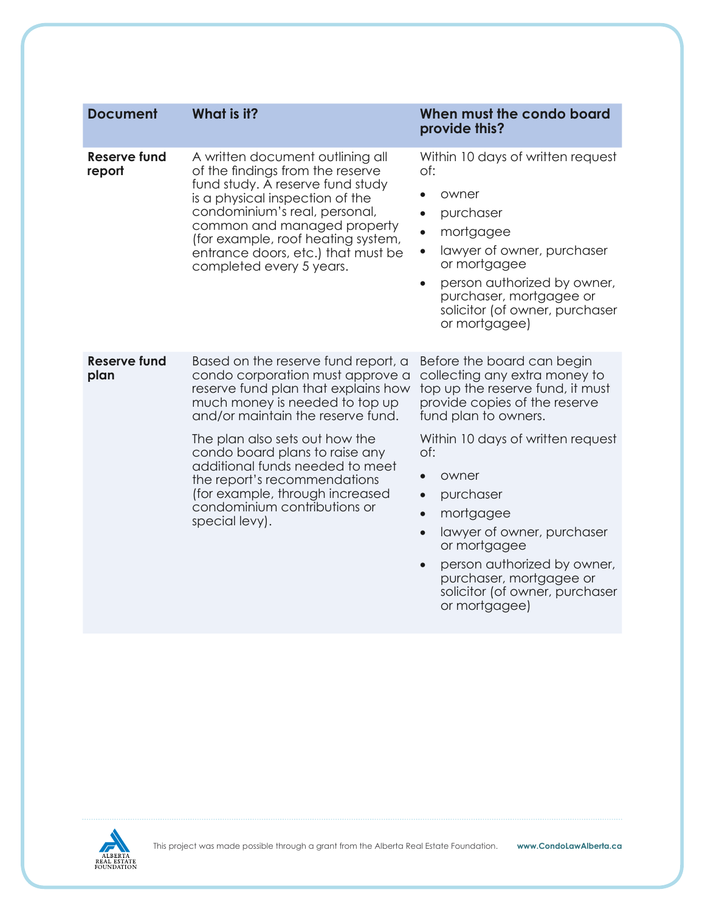| <b>Document</b>               | What is it?                                                                                                                                                                                                                                                                                                                                                                                                       | When must the condo board<br>provide this?                                                                                                                                                                                                                                                                                                                                                                                                |
|-------------------------------|-------------------------------------------------------------------------------------------------------------------------------------------------------------------------------------------------------------------------------------------------------------------------------------------------------------------------------------------------------------------------------------------------------------------|-------------------------------------------------------------------------------------------------------------------------------------------------------------------------------------------------------------------------------------------------------------------------------------------------------------------------------------------------------------------------------------------------------------------------------------------|
| <b>Reserve fund</b><br>report | A written document outlining all<br>of the findings from the reserve<br>fund study. A reserve fund study<br>is a physical inspection of the<br>condominium's real, personal,<br>common and managed property<br>(for example, roof heating system,<br>entrance doors, etc.) that must be<br>completed every 5 years.                                                                                               | Within 10 days of written request<br>of:<br>owner<br>$\bullet$<br>purchaser<br>$\bullet$<br>mortgagee<br>$\bullet$<br>lawyer of owner, purchaser<br>$\bullet$<br>or mortgagee<br>person authorized by owner,<br>$\bullet$<br>purchaser, mortgagee or<br>solicitor (of owner, purchaser<br>or mortgagee)                                                                                                                                   |
| <b>Reserve fund</b><br>plan   | Based on the reserve fund report, a<br>condo corporation must approve a<br>reserve fund plan that explains how<br>much money is needed to top up<br>and/or maintain the reserve fund.<br>The plan also sets out how the<br>condo board plans to raise any<br>additional funds needed to meet<br>the report's recommendations<br>(for example, through increased<br>condominium contributions or<br>special levy). | Before the board can begin<br>collecting any extra money to<br>top up the reserve fund, it must<br>provide copies of the reserve<br>fund plan to owners.<br>Within 10 days of written request<br>of:<br>owner<br>purchaser<br>$\bullet$<br>mortgagee<br>$\bullet$<br>lawyer of owner, purchaser<br>$\bullet$<br>or mortgagee<br>person authorized by owner,<br>purchaser, mortgagee or<br>solicitor (of owner, purchaser<br>or mortgagee) |